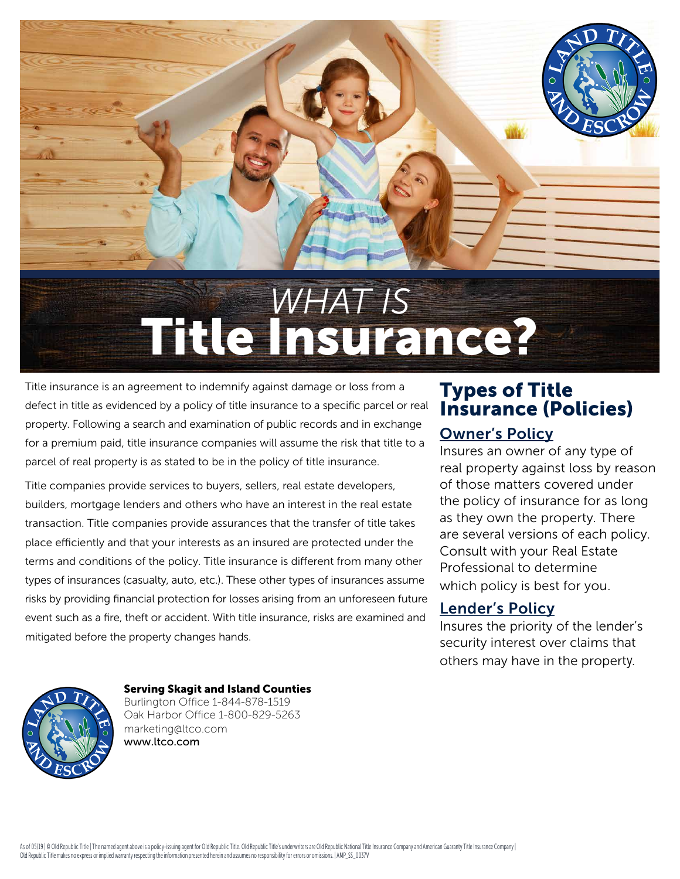

Title insurance is an agreement to indemnify against damage or loss from a defect in title as evidenced by a policy of title insurance to a specific parcel or real property. Following a search and examination of public records and in exchange for a premium paid, title insurance companies will assume the risk that title to a parcel of real property is as stated to be in the policy of title insurance.

Title companies provide services to buyers, sellers, real estate developers, builders, mortgage lenders and others who have an interest in the real estate transaction. Title companies provide assurances that the transfer of title takes place efficiently and that your interests as an insured are protected under the terms and conditions of the policy. Title insurance is different from many other types of insurances (casualty, auto, etc.). These other types of insurances assume risks by providing financial protection for losses arising from an unforeseen future event such as a fire, theft or accident. With title insurance, risks are examined and mitigated before the property changes hands.

### Types of Title Insurance (Policies)

### Owner's Policy

Insures an owner of any type of real property against loss by reason of those matters covered under the policy of insurance for as long as they own the property. There are several versions of each policy. Consult with your Real Estate Professional to determine which policy is best for you.

### Lender's Policy

Insures the priority of the lender's security interest over claims that others may have in the property.



### Serving Skagit and Island Counties

Burlington Office 1-844-878-1519 Oak Harbor Office 1-800-829-5263 marketing@ltco.com www.ltco.com